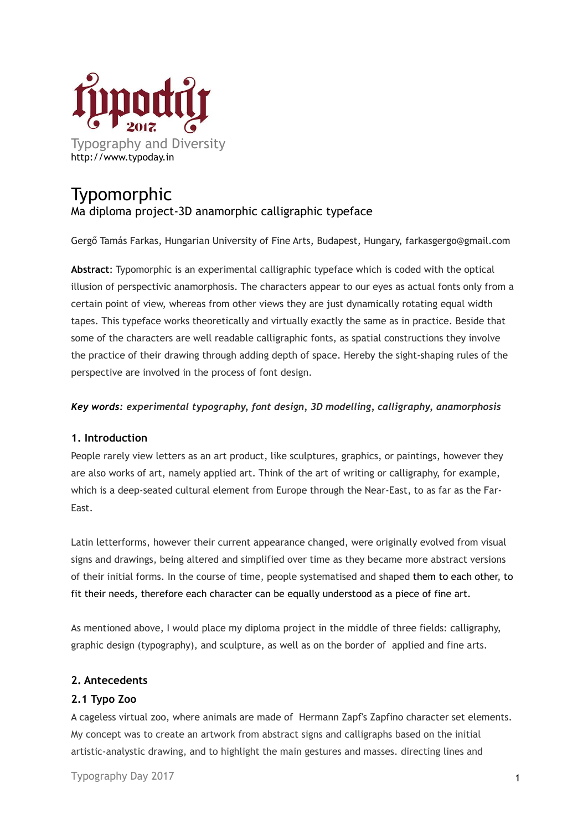

# Typomorphic Ma diploma project-3D anamorphic calligraphic typeface

Gergő Tamás Farkas, Hungarian University of Fine Arts, Budapest, Hungary, farkasgergo@gmail.com

**Abstract**: Typomorphic is an experimental calligraphic typeface which is coded with the optical illusion of perspectivic anamorphosis. The characters appear to our eyes as actual fonts only from a certain point of view, whereas from other views they are just dynamically rotating equal width tapes. This typeface works theoretically and virtually exactly the same as in practice. Beside that some of the characters are well readable calligraphic fonts, as spatial constructions they involve the practice of their drawing through adding depth of space. Hereby the sight-shaping rules of the perspective are involved in the process of font design.

#### *Key words: experimental typography, font design, 3D modelling, calligraphy, anamorphosis*

## **1. Introduction**

People rarely view letters as an art product, like sculptures, graphics, or paintings, however they are also works of art, namely applied art. Think of the art of writing or calligraphy, for example, which is a deep-seated cultural element from Europe through the Near-East, to as far as the Far-East.

Latin letterforms, however their current appearance changed, were originally evolved from visual signs and drawings, being altered and simplified over time as they became more abstract versions of their initial forms. In the course of time, people systematised and shaped them to each other, to fit their needs, therefore each character can be equally understood as a piece of fine art.

As mentioned above, I would place my diploma project in the middle of three fields: calligraphy, graphic design (typography), and sculpture, as well as on the border of applied and fine arts.

#### **2. Antecedents**

## **2.1 Typo Zoo**

A cageless virtual zoo, where animals are made of Hermann Zapf's Zapfino character set elements. My concept was to create an artwork from abstract signs and calligraphs based on the initial artistic-analystic drawing, and to highlight the main gestures and masses. directing lines and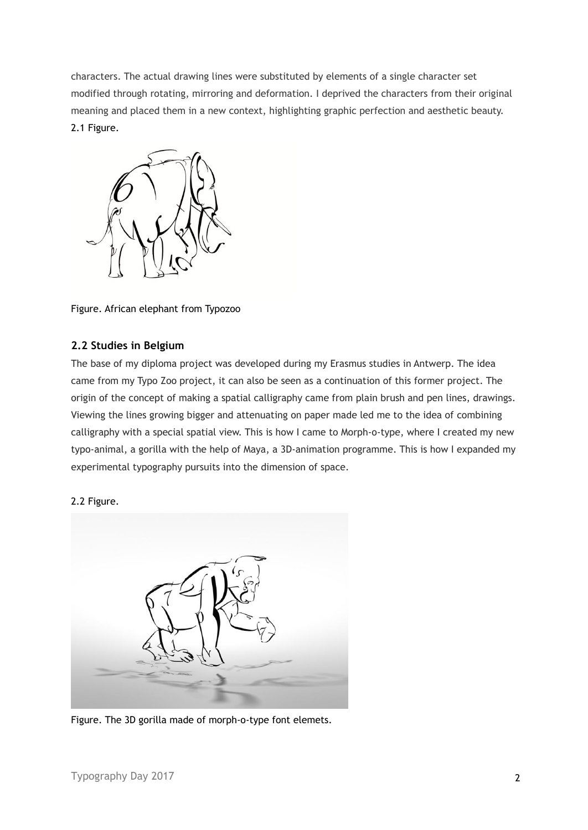characters. The actual drawing lines were substituted by elements of a single character set modified through rotating, mirroring and deformation. I deprived the characters from their original meaning and placed them in a new context, highlighting graphic perfection and aesthetic beauty. 2.1 Figure.



Figure. African elephant from Typozoo

# **2.2 Studies in Belgium**

The base of my diploma project was developed during my Erasmus studies in Antwerp. The idea came from my Typo Zoo project, it can also be seen as a continuation of this former project. The origin of the concept of making a spatial calligraphy came from plain brush and pen lines, drawings. Viewing the lines growing bigger and attenuating on paper made led me to the idea of combining calligraphy with a special spatial view. This is how I came to Morph-o-type, where I created my new typo-animal, a gorilla with the help of Maya, a 3D-animation programme. This is how I expanded my experimental typography pursuits into the dimension of space.

#### 2.2 Figure.



Figure. The 3D gorilla made of morph-o-type font elemets.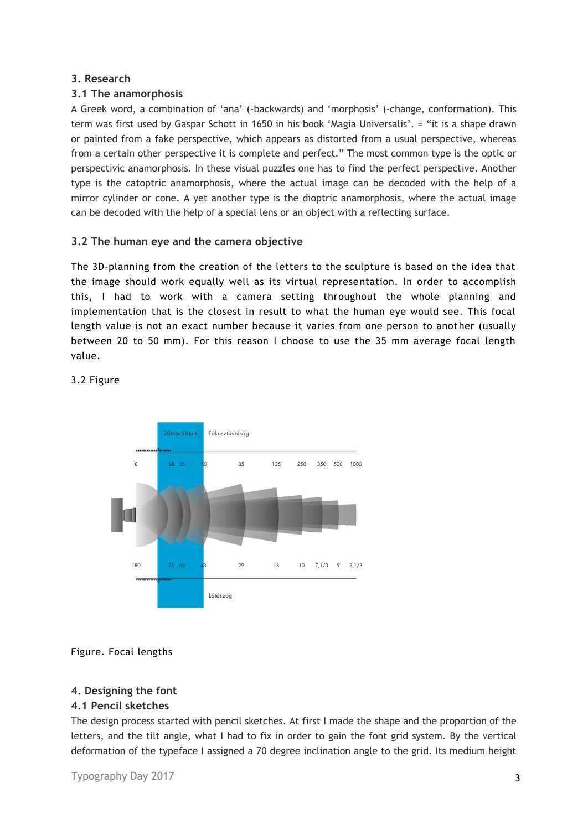# **3. Research**

# **3.1 The anamorphosis**

A Greek word, a combination of 'ana' (-backwards) and 'morphosis' (-change, conformation). This term was first used by Gaspar Schott in 1650 in his book 'Magia Universalis'. = "it is a shape drawn or painted from a fake perspective, which appears as distorted from a usual perspective, whereas from a certain other perspective it is complete and perfect." The most common type is the optic or perspectivic anamorphosis. In these visual puzzles one has to find the perfect perspective. Another type is the catoptric anamorphosis, where the actual image can be decoded with the help of a mirror cylinder or cone. A yet another type is the dioptric anamorphosis, where the actual image can be decoded with the help of a special lens or an object with a reflecting surface.

# **3.2 The human eye and the camera objective**

The 3D-planning from the creation of the letters to the sculpture is based on the idea that the image should work equally well as its virtual representation. In order to accomplish this, I had to work with a camera setting throughout the whole planning and implementation that is the closest in result to what the human eye would see. This focal length value is not an exact number because it varies from one person to another (usually between 20 to 50 mm). For this reason I choose to use the 35 mm average focal length value.



#### 3.2 Figure

## Figure. Focal lengths

## **4. Designing the font**

## **4.1 Pencil sketches**

The design process started with pencil sketches. At first I made the shape and the proportion of the letters, and the tilt angle, what I had to fix in order to gain the font grid system. By the vertical deformation of the typeface I assigned a 70 degree inclination angle to the grid. Its medium height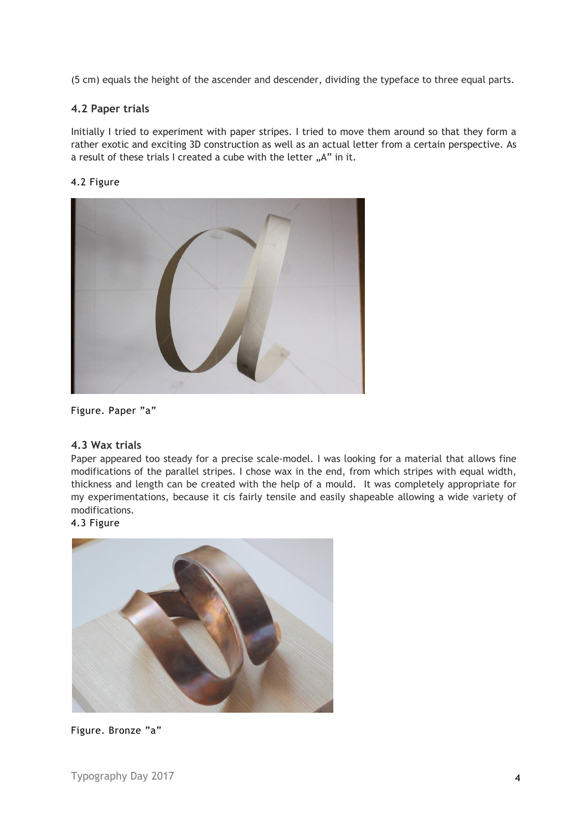(5 cm) equals the height of the ascender and descender, dividing the typeface to three equal parts.

# **4.2 Paper trials**

Initially I tried to experiment with paper stripes. I tried to move them around so that they form a rather exotic and exciting 3D construction as well as an actual letter from a certain perspective. As a result of these trials I created a cube with the letter "A" in it.

## 4.2 Figure



Figure. Paper "a"

#### **4.3 Wax trials**

Paper appeared too steady for a precise scale-model. I was looking for a material that allows fine modifications of the parallel stripes. I chose wax in the end, from which stripes with equal width, thickness and length can be created with the help of a mould. It was completely appropriate for my experimentations, because it cis fairly tensile and easily shapeable allowing a wide variety of modifications.

# 4.3 Figure



Figure. Bronze "a"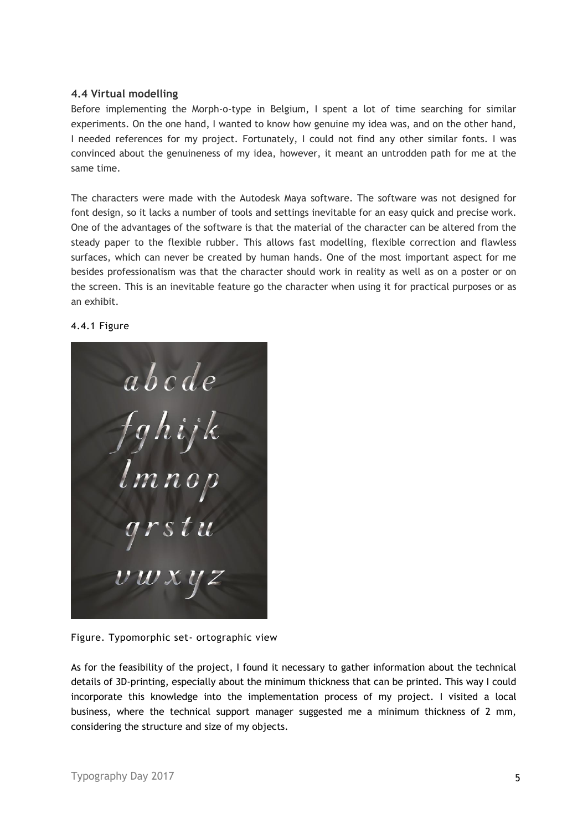## **4.4 Virtual modelling**

Before implementing the Morph-o-type in Belgium, I spent a lot of time searching for similar experiments. On the one hand, I wanted to know how genuine my idea was, and on the other hand, I needed references for my project. Fortunately, I could not find any other similar fonts. I was convinced about the genuineness of my idea, however, it meant an untrodden path for me at the same time.

The characters were made with the Autodesk Maya software. The software was not designed for font design, so it lacks a number of tools and settings inevitable for an easy quick and precise work. One of the advantages of the software is that the material of the character can be altered from the steady paper to the flexible rubber. This allows fast modelling, flexible correction and flawless surfaces, which can never be created by human hands. One of the most important aspect for me besides professionalism was that the character should work in reality as well as on a poster or on the screen. This is an inevitable feature go the character when using it for practical purposes or as an exhibit.

#### 4.4.1 Figure



Figure. Typomorphic set- ortographic view

As for the feasibility of the project, I found it necessary to gather information about the technical details of 3D-printing, especially about the minimum thickness that can be printed. This way I could incorporate this knowledge into the implementation process of my project. I visited a local business, where the technical support manager suggested me a minimum thickness of 2 mm, considering the structure and size of my objects.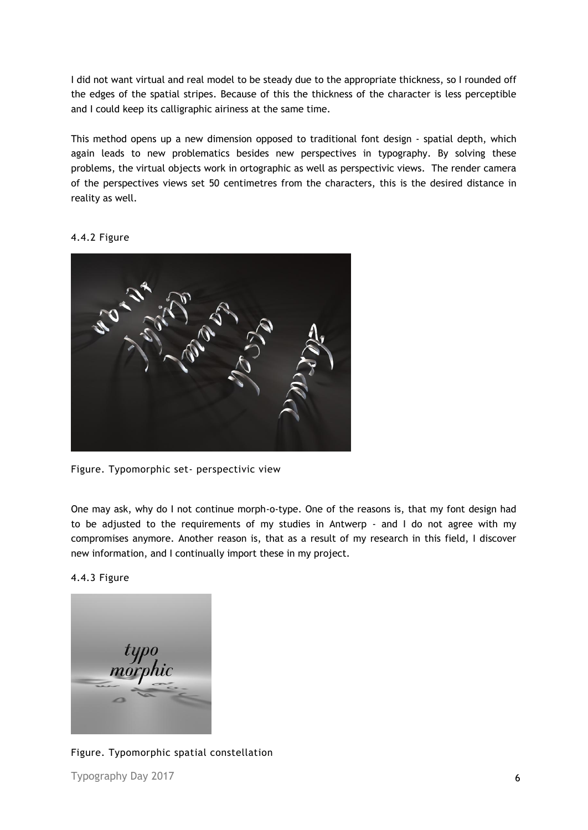I did not want virtual and real model to be steady due to the appropriate thickness, so I rounded off the edges of the spatial stripes. Because of this the thickness of the character is less perceptible and I could keep its calligraphic airiness at the same time.

This method opens up a new dimension opposed to traditional font design - spatial depth, which again leads to new problematics besides new perspectives in typography. By solving these problems, the virtual objects work in ortographic as well as perspectivic views. The render camera of the perspectives views set 50 centimetres from the characters, this is the desired distance in reality as well.

#### 4.4.2 Figure



Figure. Typomorphic set- perspectivic view

One may ask, why do I not continue morph-o-type. One of the reasons is, that my font design had to be adjusted to the requirements of my studies in Antwerp - and I do not agree with my compromises anymore. Another reason is, that as a result of my research in this field, I discover new information, and I continually import these in my project.

4.4.3 Figure



Figure. Typomorphic spatial constellation

Typography Day 2017 6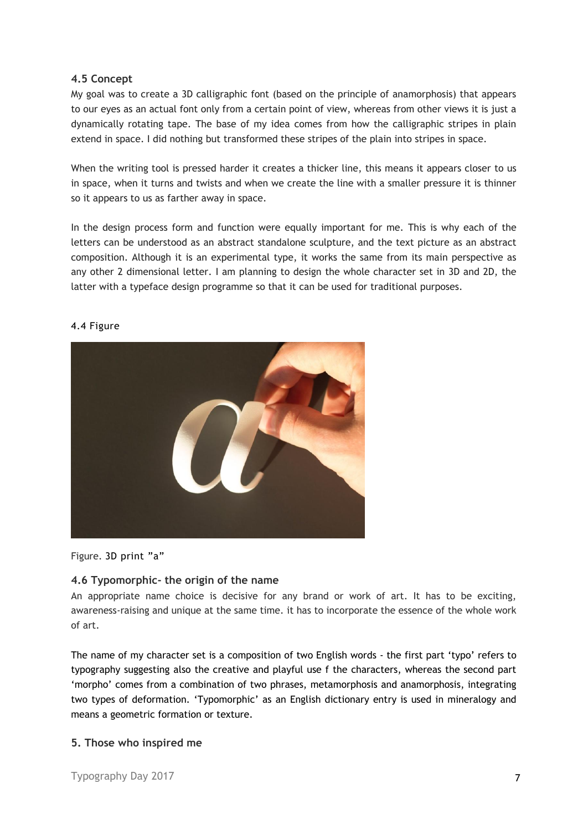## **4.5 Concept**

My goal was to create a 3D calligraphic font (based on the principle of anamorphosis) that appears to our eyes as an actual font only from a certain point of view, whereas from other views it is just a dynamically rotating tape. The base of my idea comes from how the calligraphic stripes in plain extend in space. I did nothing but transformed these stripes of the plain into stripes in space.

When the writing tool is pressed harder it creates a thicker line, this means it appears closer to us in space, when it turns and twists and when we create the line with a smaller pressure it is thinner so it appears to us as farther away in space.

In the design process form and function were equally important for me. This is why each of the letters can be understood as an abstract standalone sculpture, and the text picture as an abstract composition. Although it is an experimental type, it works the same from its main perspective as any other 2 dimensional letter. I am planning to design the whole character set in 3D and 2D, the latter with a typeface design programme so that it can be used for traditional purposes.



#### 4.4 Figure

Figure. 3D print "a"

#### **4.6 Typomorphic- the origin of the name**

An appropriate name choice is decisive for any brand or work of art. It has to be exciting, awareness-raising and unique at the same time. it has to incorporate the essence of the whole work of art.

The name of my character set is a composition of two English words - the first part 'typo' refers to typography suggesting also the creative and playful use f the characters, whereas the second part 'morpho' comes from a combination of two phrases, metamorphosis and anamorphosis, integrating two types of deformation. 'Typomorphic' as an English dictionary entry is used in mineralogy and means a geometric formation or texture.

#### **5. Those who inspired me**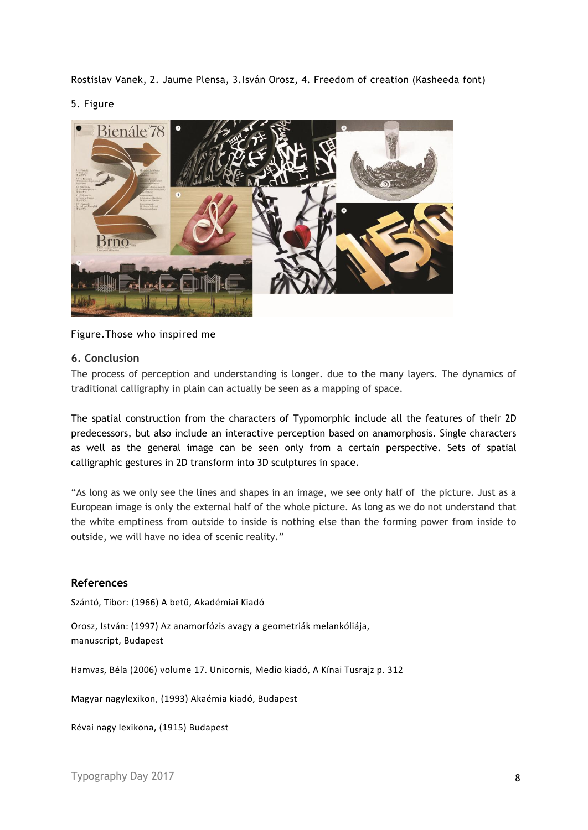Rostislav Vanek, 2. Jaume Plensa, 3.Isván Orosz, 4. Freedom of creation (Kasheeda font)

#### 5. Figure



## Figure.Those who inspired me

#### **6. Conclusion**

The process of perception and understanding is longer. due to the many layers. The dynamics of traditional calligraphy in plain can actually be seen as a mapping of space.

The spatial construction from the characters of Typomorphic include all the features of their 2D predecessors, but also include an interactive perception based on anamorphosis. Single characters as well as the general image can be seen only from a certain perspective. Sets of spatial calligraphic gestures in 2D transform into 3D sculptures in space.

"As long as we only see the lines and shapes in an image, we see only half of the picture. Just as a European image is only the external half of the whole picture. As long as we do not understand that the white emptiness from outside to inside is nothing else than the forming power from inside to outside, we will have no idea of scenic reality."

#### **References**

Szántó, Tibor: (1966) A betű, Akadémiai Kiadó

Orosz, István: (1997) Az anamorfózis avagy a geometriák melankóliája, manuscript, Budapest

Hamvas, Béla (2006) volume 17. Unicornis, Medio kiadó, A Kínai Tusrajz p. 312

Magyar nagylexikon, (1993) Akaémia kiadó, Budapest

Révai nagy lexikona, (1915) Budapest